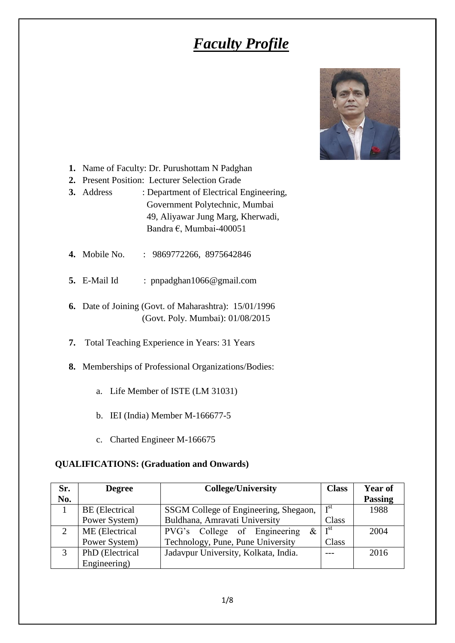# *Faculty Profile*



- **1.** Name of Faculty: Dr. Purushottam N Padghan
- **2.** Present Position: Lecturer Selection Grade
- **3.** Address : Department of Electrical Engineering, Government Polytechnic, Mumbai 49, Aliyawar Jung Marg, Kherwadi, Bandra €, Mumbai-400051
- **4.** Mobile No. : 9869772266, 8975642846
- **5.** E-Mail Id : pnpadghan1066@gmail.com
- **6.** Date of Joining (Govt. of Maharashtra): 15/01/1996 (Govt. Poly. Mumbai): 01/08/2015
- **7.** Total Teaching Experience in Years: 31 Years
- **8.** Memberships of Professional Organizations/Bodies:
	- a. Life Member of ISTE (LM 31031)
	- b. IEI (India) Member M-166677-5
	- c. Charted Engineer M-166675

#### **QUALIFICATIONS: (Graduation and Onwards)**

| Sr.          | <b>Degree</b>   | <b>College/University</b>             | <b>Class</b>    | <b>Year of</b> |
|--------------|-----------------|---------------------------------------|-----------------|----------------|
| No.          |                 |                                       |                 | <b>Passing</b> |
|              | BE (Electrical  | SSGM College of Engineering, Shegaon, | T <sub>st</sub> | 1988           |
|              | Power System)   | Buldhana, Amravati University         | Class           |                |
|              | ME (Electrical  | PVG's College of Engineering<br>&.    | I <sup>st</sup> | 2004           |
|              | Power System)   | Technology, Pune, Pune University     | Class           |                |
| $\mathbf{z}$ | PhD (Electrical | Jadavpur University, Kolkata, India.  |                 | 2016           |
|              | Engineering)    |                                       |                 |                |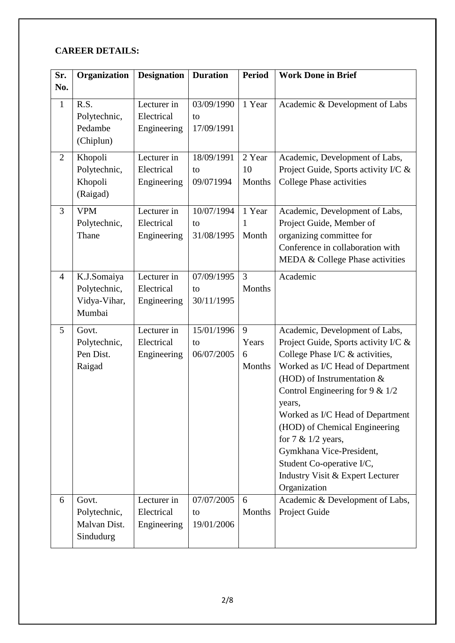## **CAREER DETAILS:**

| Sr.            | Organization                                          | <b>Designation</b>                       | <b>Duration</b>                | <b>Period</b>             | <b>Work Done in Brief</b>                                                                                                                                                                                                                                                                                                                                                                                                              |
|----------------|-------------------------------------------------------|------------------------------------------|--------------------------------|---------------------------|----------------------------------------------------------------------------------------------------------------------------------------------------------------------------------------------------------------------------------------------------------------------------------------------------------------------------------------------------------------------------------------------------------------------------------------|
| No.            |                                                       |                                          |                                |                           |                                                                                                                                                                                                                                                                                                                                                                                                                                        |
| $\mathbf{1}$   | R.S.<br>Polytechnic,<br>Pedambe<br>(Chiplun)          | Lecturer in<br>Electrical<br>Engineering | 03/09/1990<br>to<br>17/09/1991 | 1 Year                    | Academic & Development of Labs                                                                                                                                                                                                                                                                                                                                                                                                         |
| $\overline{2}$ | Khopoli<br>Polytechnic,<br>Khopoli<br>(Raigad)        | Lecturer in<br>Electrical<br>Engineering | 18/09/1991<br>to<br>09/071994  | 2 Year<br>10<br>Months    | Academic, Development of Labs,<br>Project Guide, Sports activity I/C &<br><b>College Phase activities</b>                                                                                                                                                                                                                                                                                                                              |
| 3              | <b>VPM</b><br>Polytechnic,<br>Thane                   | Lecturer in<br>Electrical<br>Engineering | 10/07/1994<br>to<br>31/08/1995 | 1 Year<br>1<br>Month      | Academic, Development of Labs,<br>Project Guide, Member of<br>organizing committee for<br>Conference in collaboration with<br>MEDA & College Phase activities                                                                                                                                                                                                                                                                          |
| $\overline{4}$ | K.J.Somaiya<br>Polytechnic,<br>Vidya-Vihar,<br>Mumbai | Lecturer in<br>Electrical<br>Engineering | 07/09/1995<br>to<br>30/11/1995 | $\overline{3}$<br>Months  | Academic                                                                                                                                                                                                                                                                                                                                                                                                                               |
| 5              | Govt.<br>Polytechnic,<br>Pen Dist.<br>Raigad          | Lecturer in<br>Electrical<br>Engineering | 15/01/1996<br>to<br>06/07/2005 | 9<br>Years<br>6<br>Months | Academic, Development of Labs,<br>Project Guide, Sports activity I/C &<br>College Phase I/C & activities,<br>Worked as I/C Head of Department<br>(HOD) of Instrumentation $&$<br>Control Engineering for $9 < 1/2$<br>years,<br>Worked as I/C Head of Department<br>(HOD) of Chemical Engineering<br>for $7 & 1/2$ years,<br>Gymkhana Vice-President,<br>Student Co-operative I/C,<br>Industry Visit & Expert Lecturer<br>Organization |
| 6              | Govt.<br>Polytechnic,<br>Malvan Dist.<br>Sindudurg    | Lecturer in<br>Electrical<br>Engineering | 07/07/2005<br>to<br>19/01/2006 | 6<br>Months               | Academic & Development of Labs,<br>Project Guide                                                                                                                                                                                                                                                                                                                                                                                       |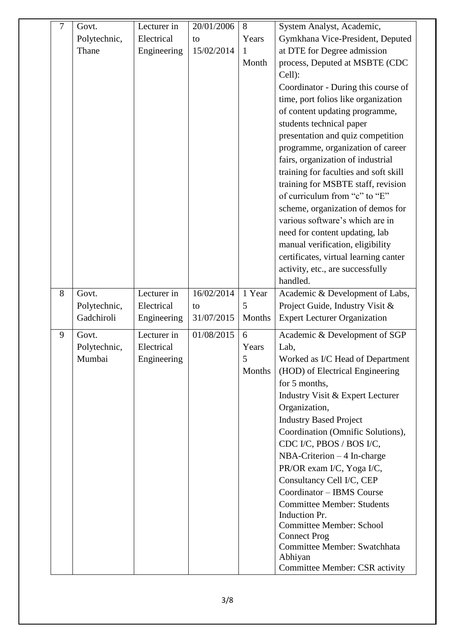| $\tau$ | Govt.        | Lecturer in | 20/01/2006 | 8      | System Analyst, Academic,                                                  |
|--------|--------------|-------------|------------|--------|----------------------------------------------------------------------------|
|        | Polytechnic, | Electrical  | to         | Years  | Gymkhana Vice-President, Deputed                                           |
|        | Thane        | Engineering | 15/02/2014 | 1      | at DTE for Degree admission                                                |
|        |              |             |            | Month  | process, Deputed at MSBTE (CDC                                             |
|        |              |             |            |        | Cell):                                                                     |
|        |              |             |            |        | Coordinator - During this course of                                        |
|        |              |             |            |        | time, port folios like organization                                        |
|        |              |             |            |        | of content updating programme,                                             |
|        |              |             |            |        | students technical paper                                                   |
|        |              |             |            |        | presentation and quiz competition                                          |
|        |              |             |            |        | programme, organization of career                                          |
|        |              |             |            |        | fairs, organization of industrial<br>training for faculties and soft skill |
|        |              |             |            |        | training for MSBTE staff, revision                                         |
|        |              |             |            |        | of curriculum from "c" to "E"                                              |
|        |              |             |            |        | scheme, organization of demos for                                          |
|        |              |             |            |        | various software's which are in                                            |
|        |              |             |            |        | need for content updating, lab                                             |
|        |              |             |            |        | manual verification, eligibility                                           |
|        |              |             |            |        | certificates, virtual learning canter                                      |
|        |              |             |            |        | activity, etc., are successfully                                           |
|        |              |             |            |        | handled.                                                                   |
| 8      | Govt.        | Lecturer in | 16/02/2014 | 1 Year | Academic & Development of Labs,                                            |
|        | Polytechnic, | Electrical  | to         | 5      | Project Guide, Industry Visit &                                            |
|        | Gadchiroli   | Engineering | 31/07/2015 | Months | <b>Expert Lecturer Organization</b>                                        |
| 9      | Govt.        | Lecturer in | 01/08/2015 | 6      | Academic & Development of SGP                                              |
|        | Polytechnic, | Electrical  |            | Years  | Lab,                                                                       |
|        | Mumbai       | Engineering |            | 5      | Worked as I/C Head of Department                                           |
|        |              |             |            | Months | (HOD) of Electrical Engineering                                            |
|        |              |             |            |        | for 5 months,<br>Industry Visit & Expert Lecturer                          |
|        |              |             |            |        | Organization,                                                              |
|        |              |             |            |        | <b>Industry Based Project</b>                                              |
|        |              |             |            |        | Coordination (Omnific Solutions),                                          |
|        |              |             |            |        | CDC I/C, PBOS / BOS I/C,                                                   |
|        |              |             |            |        | $NBA-Criterion - 4 In-charge$                                              |
|        |              |             |            |        | PR/OR exam I/C, Yoga I/C,                                                  |
|        |              |             |            |        | Consultancy Cell I/C, CEP                                                  |
|        |              |             |            |        | Coordinator - IBMS Course                                                  |
|        |              |             |            |        | <b>Committee Member: Students</b>                                          |
|        |              |             |            |        | <b>Induction Pr.</b><br><b>Committee Member: School</b>                    |
|        |              |             |            |        | <b>Connect Prog</b>                                                        |
|        |              |             |            |        | Committee Member: Swatchhata                                               |
|        |              |             |            |        | Abhiyan                                                                    |
|        |              |             |            |        | <b>Committee Member: CSR activity</b>                                      |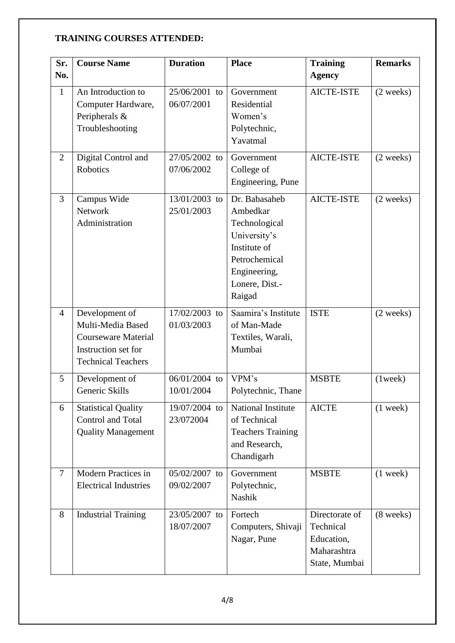## **TRAINING COURSES ATTENDED:**

| Sr.            | <b>Course Name</b>                                                                                                    | <b>Duration</b>             | <b>Place</b>                                                                                                                            | <b>Training</b>                                                           | <b>Remarks</b>      |
|----------------|-----------------------------------------------------------------------------------------------------------------------|-----------------------------|-----------------------------------------------------------------------------------------------------------------------------------------|---------------------------------------------------------------------------|---------------------|
| No.            |                                                                                                                       |                             |                                                                                                                                         | <b>Agency</b>                                                             |                     |
| $\mathbf{1}$   | An Introduction to<br>Computer Hardware,<br>Peripherals &<br>Troubleshooting                                          | 25/06/2001 to<br>06/07/2001 | Government<br>Residential<br>Women's<br>Polytechnic,<br>Yavatmal                                                                        | <b>AICTE-ISTE</b>                                                         | $(2 \text{ weeks})$ |
| 2              | Digital Control and<br>Robotics                                                                                       | 27/05/2002 to<br>07/06/2002 | Government<br>College of<br>Engineering, Pune                                                                                           | <b>AICTE-ISTE</b>                                                         | $(2 \text{ weeks})$ |
| $\overline{3}$ | Campus Wide<br><b>Network</b><br>Administration                                                                       | 13/01/2003 to<br>25/01/2003 | Dr. Babasaheb<br>Ambedkar<br>Technological<br>University's<br>Institute of<br>Petrochemical<br>Engineering,<br>Lonere, Dist.-<br>Raigad | <b>AICTE-ISTE</b>                                                         | $(2 \text{ weeks})$ |
| $\overline{4}$ | Development of<br>Multi-Media Based<br><b>Courseware Material</b><br>Instruction set for<br><b>Technical Teachers</b> | 17/02/2003 to<br>01/03/2003 | Saamira's Institute<br>of Man-Made<br>Textiles, Warali,<br>Mumbai                                                                       | <b>ISTE</b>                                                               | $(2 \text{ weeks})$ |
| 5              | Development of<br>Generic Skills                                                                                      | 06/01/2004 to<br>10/01/2004 | VPM's<br>Polytechnic, Thane                                                                                                             | <b>MSBTE</b>                                                              | $(1$ week $)$       |
| 6              | <b>Statistical Quality</b><br><b>Control and Total</b><br><b>Quality Management</b>                                   | 19/07/2004 to<br>23/072004  | <b>National Institute</b><br>of Technical<br><b>Teachers Training</b><br>and Research,<br>Chandigarh                                    | <b>AICTE</b>                                                              | $(1$ week)          |
| $\tau$         | Modern Practices in<br><b>Electrical Industries</b>                                                                   | 05/02/2007 to<br>09/02/2007 | Government<br>Polytechnic,<br><b>Nashik</b>                                                                                             | <b>MSBTE</b>                                                              | $(1$ week)          |
| 8              | <b>Industrial Training</b>                                                                                            | 23/05/2007 to<br>18/07/2007 | Fortech<br>Computers, Shivaji<br>Nagar, Pune                                                                                            | Directorate of<br>Technical<br>Education,<br>Maharashtra<br>State, Mumbai | $(8 \text{ weeks})$ |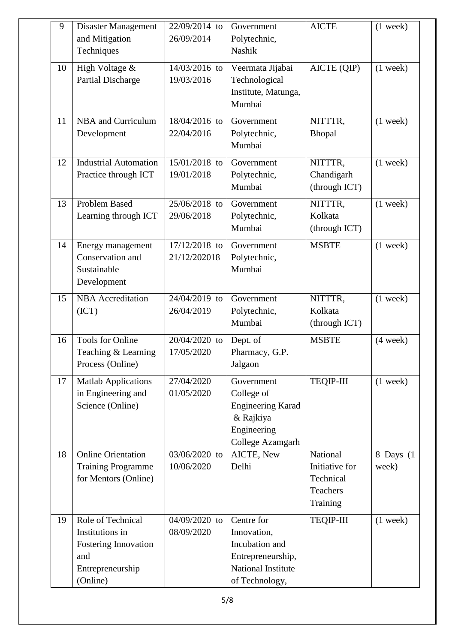| 9  | <b>Disaster Management</b><br>and Mitigation<br>Techniques                                          | 22/09/2014 to<br>26/09/2014   | Government<br>Polytechnic,<br>Nashik                                                                     | <b>AICTE</b>                                                    | $(1$ week)         |
|----|-----------------------------------------------------------------------------------------------------|-------------------------------|----------------------------------------------------------------------------------------------------------|-----------------------------------------------------------------|--------------------|
| 10 | High Voltage &<br><b>Partial Discharge</b>                                                          | 14/03/2016 to<br>19/03/2016   | Veermata Jijabai<br>Technological<br>Institute, Matunga,<br>Mumbai                                       | $\overline{\text{AICTE}}$ (QIP)                                 | $(1$ week)         |
| 11 | <b>NBA</b> and Curriculum<br>Development                                                            | 18/04/2016 to<br>22/04/2016   | Government<br>Polytechnic,<br>Mumbai                                                                     | NITTTR,<br>Bhopal                                               | $(1$ week)         |
| 12 | <b>Industrial Automation</b><br>Practice through ICT                                                | 15/01/2018 to<br>19/01/2018   | Government<br>Polytechnic,<br>Mumbai                                                                     | NITTTR,<br>Chandigarh<br>(through ICT)                          | $(1$ week)         |
| 13 | <b>Problem Based</b><br>Learning through ICT                                                        | 25/06/2018 to<br>29/06/2018   | Government<br>Polytechnic,<br>Mumbai                                                                     | NITTTR,<br>Kolkata<br>(through ICT)                             | $(1$ week)         |
| 14 | Energy management<br>Conservation and<br>Sustainable<br>Development                                 | 17/12/2018 to<br>21/12/202018 | Government<br>Polytechnic,<br>Mumbai                                                                     | <b>MSBTE</b>                                                    | $(1$ week)         |
| 15 | <b>NBA</b> Accreditation<br>(ICT)                                                                   | 24/04/2019 to<br>26/04/2019   | Government<br>Polytechnic,<br>Mumbai                                                                     | NITTTR,<br>Kolkata<br>(through ICT)                             | $(1$ week)         |
| 16 | Tools for Online<br>Teaching & Learning<br>Process (Online)                                         | 20/04/2020 to<br>17/05/2020   | Dept. of<br>Pharmacy, G.P.<br>Jalgaon                                                                    | <b>MSBTE</b>                                                    | $(4$ week)         |
| 17 | <b>Matlab Applications</b><br>in Engineering and<br>Science (Online)                                | 27/04/2020<br>01/05/2020      | Government<br>College of<br><b>Engineering Karad</b><br>& Rajkiya<br>Engineering<br>College Azamgarh     | <b>TEQIP-III</b>                                                | $(1$ week)         |
| 18 | <b>Online Orientation</b><br><b>Training Programme</b><br>for Mentors (Online)                      | 03/06/2020 to<br>10/06/2020   | AICTE, New<br>Delhi                                                                                      | National<br>Initiative for<br>Technical<br>Teachers<br>Training | 8 Days (1<br>week) |
| 19 | Role of Technical<br>Institutions in<br>Fostering Innovation<br>and<br>Entrepreneurship<br>(Online) | 04/09/2020 to<br>08/09/2020   | Centre for<br>Innovation,<br>Incubation and<br>Entrepreneurship,<br>National Institute<br>of Technology, | <b>TEQIP-III</b>                                                | $(1$ week)         |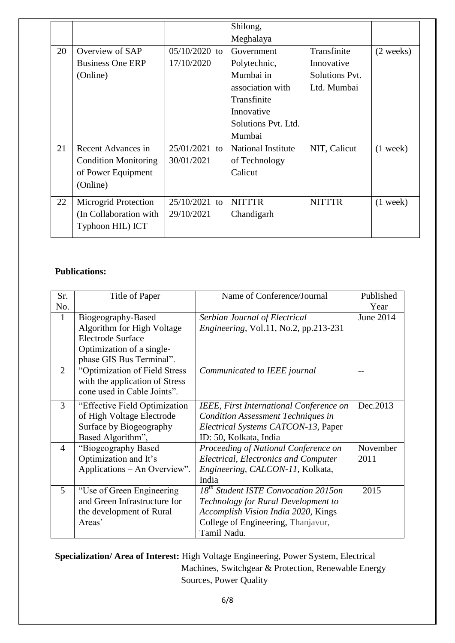|    |                             |                 | Shilong,                  |                |                     |
|----|-----------------------------|-----------------|---------------------------|----------------|---------------------|
|    |                             |                 | Meghalaya                 |                |                     |
| 20 | Overview of SAP             | $05/10/2020$ to | Government                | Transfinite    | $(2 \text{ weeks})$ |
|    | <b>Business One ERP</b>     | 17/10/2020      | Polytechnic,              | Innovative     |                     |
|    | (Online)                    |                 | Mumbai in                 | Solutions Pvt. |                     |
|    |                             |                 | association with          | Ltd. Mumbai    |                     |
|    |                             |                 | Transfinite               |                |                     |
|    |                             |                 | Innovative                |                |                     |
|    |                             |                 | Solutions Pyt. Ltd.       |                |                     |
|    |                             |                 | Mumbai                    |                |                     |
| 21 | Recent Advances in          | $25/01/2021$ to | <b>National Institute</b> | NIT, Calicut   | $(1$ week)          |
|    | <b>Condition Monitoring</b> | 30/01/2021      | of Technology             |                |                     |
|    | of Power Equipment          |                 | Calicut                   |                |                     |
|    | (Online)                    |                 |                           |                |                     |
| 22 | Microgrid Protection        | $25/10/2021$ to | <b>NITTTR</b>             | <b>NITTTR</b>  | $(1$ week)          |
|    | (In Collaboration with)     | 29/10/2021      | Chandigarh                |                |                     |
|    | Typhoon HIL) ICT            |                 |                           |                |                     |
|    |                             |                 |                           |                |                     |

#### **Publications:**

| Sr.<br>No.     | Title of Paper                                                                                                                        | Name of Conference/Journal                                                                                                                                                          | Published<br>Year |
|----------------|---------------------------------------------------------------------------------------------------------------------------------------|-------------------------------------------------------------------------------------------------------------------------------------------------------------------------------------|-------------------|
| 1              | Biogeography-Based<br>Algorithm for High Voltage<br><b>Electrode Surface</b><br>Optimization of a single-<br>phase GIS Bus Terminal". | Serbian Journal of Electrical<br><i>Engineering</i> , Vol.11, No.2, pp.213-231                                                                                                      | June 2014         |
| $\overline{2}$ | "Optimization of Field Stress<br>with the application of Stress<br>cone used in Cable Joints".                                        | Communicated to IEEE journal                                                                                                                                                        |                   |
| 3              | "Effective Field Optimization<br>of High Voltage Electrode<br>Surface by Biogeography<br>Based Algorithm",                            | IEEE, First International Conference on<br><b>Condition Assessment Techniques in</b><br>Electrical Systems CATCON-13, Paper<br>ID: 50, Kolkata, India                               | Dec.2013          |
| $\overline{4}$ | "Biogeography Based<br>Optimization and It's<br>Applications – An Overview".                                                          | Proceeding of National Conference on<br><b>Electrical, Electronics and Computer</b><br>Engineering, CALCON-11, Kolkata,<br>India                                                    | November<br>2011  |
| 5              | "Use of Green Engineering<br>and Green Infrastructure for<br>the development of Rural<br>Areas'                                       | 18 <sup>th</sup> Student ISTE Convocation 2015on<br>Technology for Rural Development to<br>Accomplish Vision India 2020, Kings<br>College of Engineering, Thanjavur,<br>Tamil Nadu. | 2015              |

**Specialization/ Area of Interest:** High Voltage Engineering, Power System, Electrical Machines, Switchgear & Protection, Renewable Energy Sources, Power Quality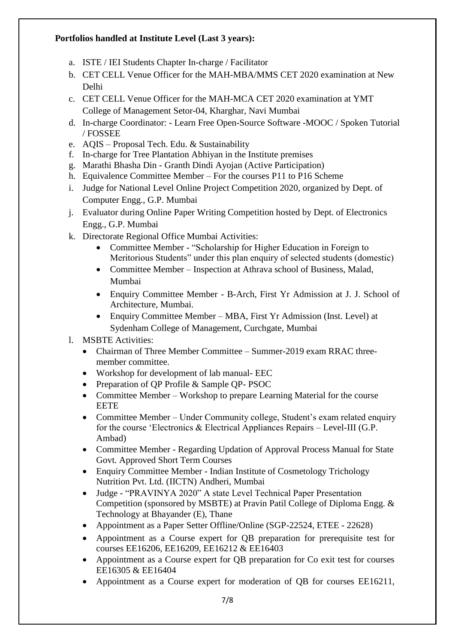### **Portfolios handled at Institute Level (Last 3 years):**

- a. ISTE / IEI Students Chapter In-charge / Facilitator
- b. CET CELL Venue Officer for the MAH-MBA/MMS CET 2020 examination at New Delhi
- c. CET CELL Venue Officer for the MAH-MCA CET 2020 examination at YMT College of Management Setor-04, Kharghar, Navi Mumbai
- d. In-charge Coordinator: Learn Free Open-Source Software -MOOC / Spoken Tutorial / FOSSEE
- e. AQIS Proposal Tech. Edu. & Sustainability
- f. In-charge for Tree Plantation Abhiyan in the Institute premises
- g. Marathi Bhasha Din Granth Dindi Ayojan (Active Participation)
- h. Equivalence Committee Member For the courses P11 to P16 Scheme
- i. Judge for National Level Online Project Competition 2020, organized by Dept. of Computer Engg., G.P. Mumbai
- j. Evaluator during Online Paper Writing Competition hosted by Dept. of Electronics Engg., G.P. Mumbai
- k. Directorate Regional Office Mumbai Activities:
	- Committee Member "Scholarship for Higher Education in Foreign to Meritorious Students" under this plan enquiry of selected students (domestic)
	- Committee Member Inspection at Athrava school of Business, Malad, Mumbai
	- Enquiry Committee Member B-Arch, First Yr Admission at J. J. School of Architecture, Mumbai.
	- Enquiry Committee Member MBA, First Yr Admission (Inst. Level) at Sydenham College of Management, Curchgate, Mumbai
- l. MSBTE Activities:
	- Chairman of Three Member Committee Summer-2019 exam RRAC threemember committee.
	- Workshop for development of lab manual- EEC
	- Preparation of QP Profile & Sample QP- PSOC
	- Committee Member Workshop to prepare Learning Material for the course EETE
	- Committee Member Under Community college, Student's exam related enquiry for the course "Electronics & Electrical Appliances Repairs – Level-III (G.P. Ambad)
	- Committee Member Regarding Updation of Approval Process Manual for State Govt. Approved Short Term Courses
	- Enquiry Committee Member Indian Institute of Cosmetology Trichology Nutrition Pvt. Ltd. (IICTN) Andheri, Mumbai
	- Judge "PRAVINYA 2020" A state Level Technical Paper Presentation Competition (sponsored by MSBTE) at Pravin Patil College of Diploma Engg. & Technology at Bhayander (E), Thane
	- Appointment as a Paper Setter Offline/Online (SGP-22524, ETEE 22628)
	- Appointment as a Course expert for QB preparation for prerequisite test for courses EE16206, EE16209, EE16212 & EE16403
	- Appointment as a Course expert for QB preparation for Co exit test for courses EE16305 & EE16404
	- Appointment as a Course expert for moderation of QB for courses EE16211,